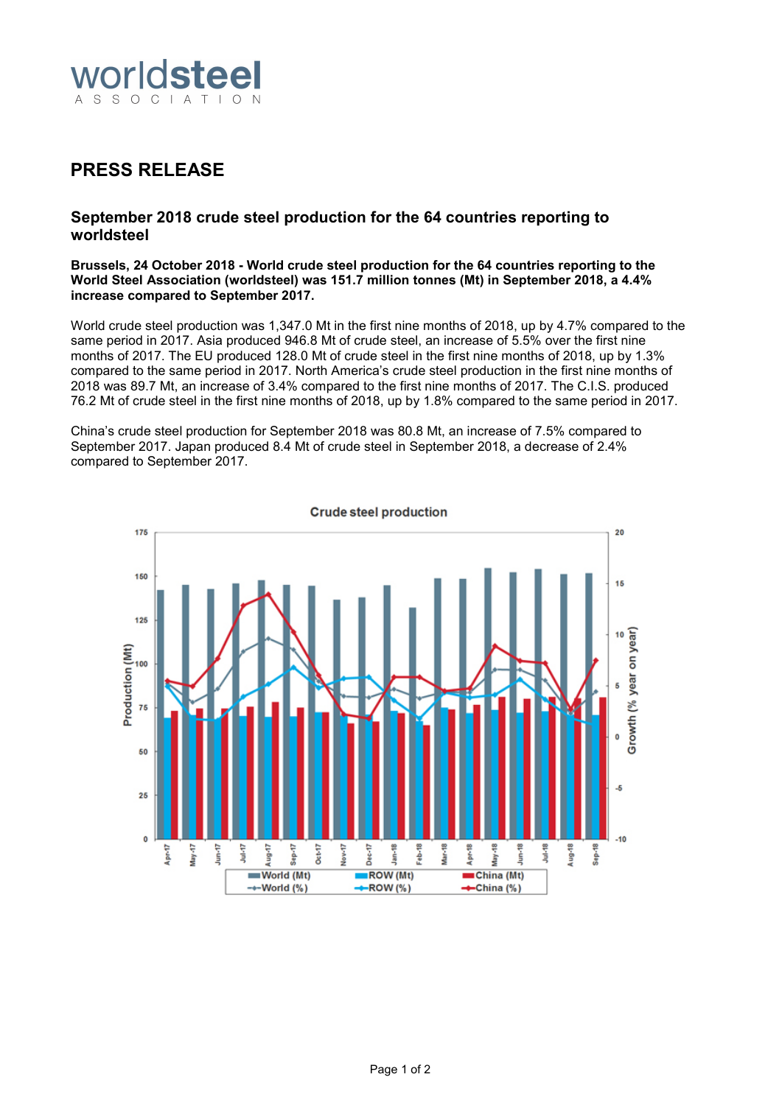

# **PRESS RELEASE**

# **September 2018 crude steel production for the 64 countries reporting to worldsteel**

#### **Brussels, 24 October 2018 - World crude steel production for the 64 countries reporting to the World Steel Association (worldsteel) was 151.7 million tonnes (Mt) in September 2018, a 4.4% increase compared to September 2017.**

World crude steel production was 1,347.0 Mt in the first nine months of 2018, up by 4.7% compared to the same period in 2017. Asia produced 946.8 Mt of crude steel, an increase of 5.5% over the first nine months of 2017. The EU produced 128.0 Mt of crude steel in the first nine months of 2018, up by 1.3% compared to the same period in 2017. North America's crude steel production in the first nine months of 2018 was 89.7 Mt, an increase of 3.4% compared to the first nine months of 2017. The C.I.S. produced 76.2 Mt of crude steel in the first nine months of 2018, up by 1.8% compared to the same period in 2017.

China's crude steel production for September 2018 was 80.8 Mt, an increase of 7.5% compared to September 2017. Japan produced 8.4 Mt of crude steel in September 2018, a decrease of 2.4% compared to September 2017.



Page 1 of 2